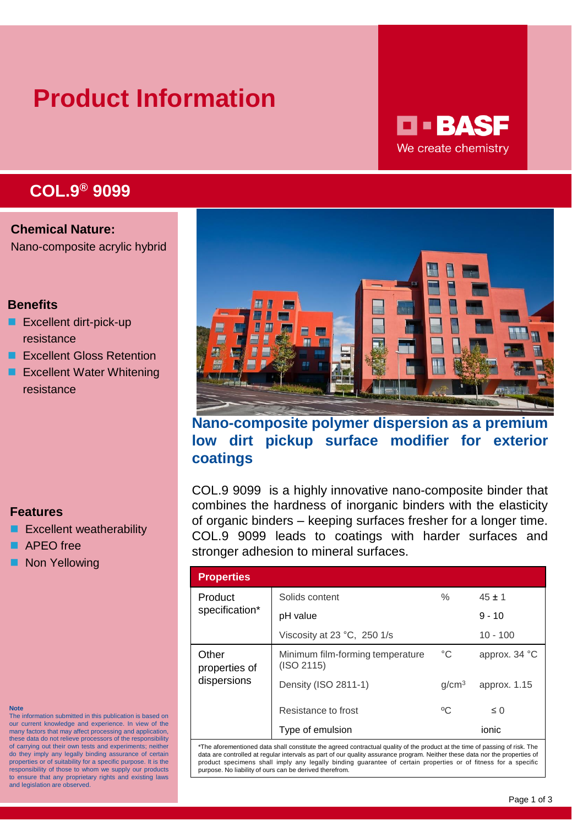# **Product Information**

## **D - BASF** We create chemistry

## **COL.9® 9099**

**Chemical Nature:** Nano-composite acrylic hybrid

## **Benefits**

- **Excellent dirt-pick-up** resistance
- **EXCellent Gloss Retention**
- **EXcellent Water Whitening** resistance

## **Features**

- **EXCELLENT WEATHER** Excellent weatherability
- APEO free
- **Non Yellowing**

| Nano-composite polymer dispersion as a premium            |  |  |  |
|-----------------------------------------------------------|--|--|--|
| low dirt pickup surface modifier for exterior<br>coatings |  |  |  |

COL.9 9099 is a highly innovative nano-composite binder that combines the hardness of inorganic binders with the elasticity of organic binders – keeping surfaces fresher for a longer time. COL.9 9099 leads to coatings with harder surfaces and stronger adhesion to mineral surfaces.

| <b>Properties</b>                     |                                                |                   |                        |
|---------------------------------------|------------------------------------------------|-------------------|------------------------|
| Product                               | Solids content                                 | $\%$              | $45 \pm 1$             |
| specification*                        | pH value                                       |                   | $9 - 10$               |
|                                       | Viscosity at 23 $^{\circ}$ C, 250 1/s          |                   | $10 - 100$             |
| Other<br>properties of<br>dispersions | Minimum film-forming temperature<br>(ISO 2115) | $^{\circ}C$       | approx. $34^{\circ}$ C |
|                                       | Density (ISO 2811-1)                           | q/cm <sup>3</sup> | approx. 1.15           |
|                                       | Resistance to frost                            | °C                | $\leq 0$               |
|                                       | Type of emulsion                               |                   | ionic                  |

\*The aforementioned data shall constitute the agreed contractual quality of the product at the time of passing of risk. The data are controlled at regular intervals as part of our quality assurance program. Neither these data nor the properties of product specimens shall imply any legally binding guarantee of certain properties or of fitness for a specific purpose. No liability of ours can be derived therefrom.

#### **Note**

The information submitted in this publication is based on our current knowledge and experience. In view of the many factors that may affect processing and application, these data do not relieve processors of the responsibility of carrying out their own tests and experiments; neither do they imply any legally binding assurance of certain properties or of suitability for a specific purpose. It is the responsibility of those to whom we supply our products to ensure that any proprietary rights and existing laws and legislation are observed.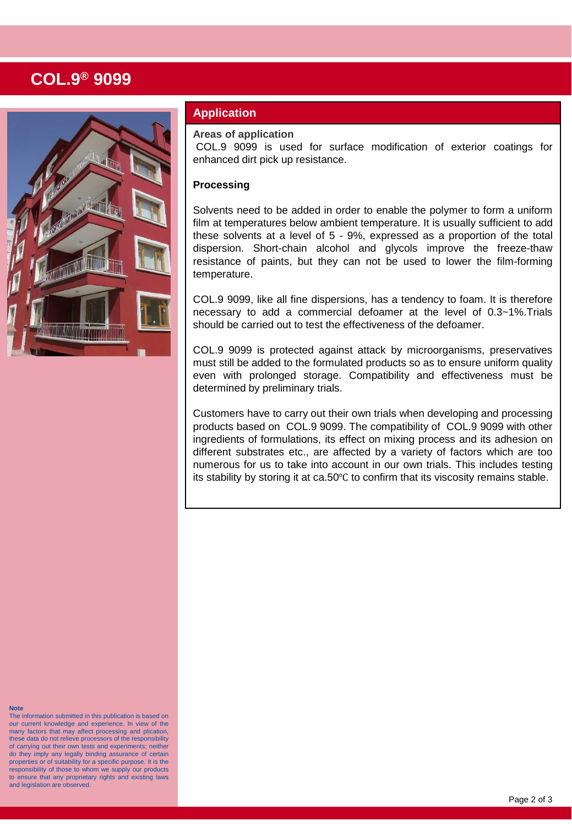## **COL.9® 9099**



## **Application**

**Areas of application**

COL.9 9099 is used for surface modification of exterior coatings for enhanced dirt pick up resistance.

### **Processing**

Solvents need to be added in order to enable the polymer to form a uniform film at temperatures below ambient temperature. It is usually sufficient to add these solvents at a level of 5 - 9%, expressed as a proportion of the total dispersion. Short-chain alcohol and glycols improve the freeze-thaw resistance of paints, but they can not be used to lower the film-forming temperature.

COL.9 9099, like all fine dispersions, has a tendency to foam. It is therefore necessary to add a commercial defoamer at the level of 0.3~1%.Trials should be carried out to test the effectiveness of the defoamer.

COL.9 9099 is protected against attack by microorganisms, preservatives must still be added to the formulated products so as to ensure uniform quality even with prolonged storage. Compatibility and effectiveness must be determined by preliminary trials.

Customers have to carry out their own trials when developing and processing products based on COL.9 9099. The compatibility of COL.9 9099 with other ingredients of formulations, its effect on mixing process and its adhesion on different substrates etc., are affected by a variety of factors which are too numerous for us to take into account in our own trials. This includes testing its stability by storing it at ca.50℃ to confirm that its viscosity remains stable.

#### **Note**

The information submitted in this publication is based on our current knowledge and experience. In view of the many factors that may affect processing and plication, these data do not relieve processors of the responsibility of carrying out their own tests and experiments; neither do they imply any legally binding assurance of certain properties or of suitability for a specific purpose. It is the responsibility of those to whom we supply our products to ensure that any proprietary rights and existing laws and legislation are observed.